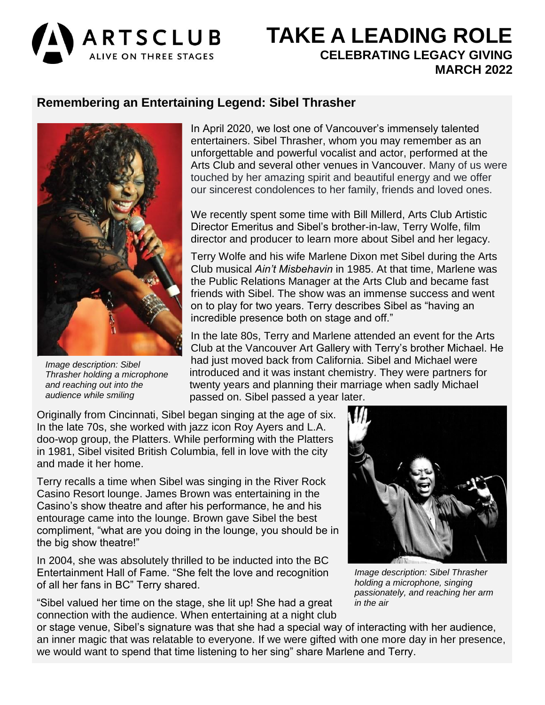

# **TAKE A LEADING ROLE** ALIVE ON THREE STAGES **CELEBRATING LEGACY GIVING MARCH 2022**

## **Remembering an Entertaining Legend: Sibel Thrasher**



*Image description: Sibel Thrasher holding a microphone and reaching out into the audience while smiling*

In April 2020, we lost one of Vancouver's immensely talented entertainers. Sibel Thrasher, whom you may remember as an unforgettable and powerful vocalist and actor, performed at the Arts Club and several other venues in Vancouver. Many of us were touched by her amazing spirit and beautiful energy and we offer our sincerest condolences to her family, friends and loved ones.

We recently spent some time with Bill Millerd, Arts Club Artistic Director Emeritus and Sibel's brother-in-law, Terry Wolfe, film director and producer to learn more about Sibel and her legacy.

Terry Wolfe and his wife Marlene Dixon met Sibel during the Arts Club musical *Ain't Misbehavin* in 1985. At that time, Marlene was the Public Relations Manager at the Arts Club and became fast friends with Sibel. The show was an immense success and went on to play for two years. Terry describes Sibel as "having an incredible presence both on stage and off."

In the late 80s, Terry and Marlene attended an event for the Arts Club at the Vancouver Art Gallery with Terry's brother Michael. He had just moved back from California. Sibel and Michael were introduced and it was instant chemistry. They were partners for twenty years and planning their marriage when sadly Michael passed on. Sibel passed a year later.

Originally from Cincinnati, Sibel began singing at the age of six. In the late 70s, she worked with jazz icon Roy Ayers and L.A. doo-wop group, the Platters. While performing with the Platters in 1981, Sibel visited British Columbia, fell in love with the city and made it her home.

Terry recalls a time when Sibel was singing in the River Rock Casino Resort lounge. James Brown was entertaining in the Casino's show theatre and after his performance, he and his entourage came into the lounge. Brown gave Sibel the best compliment, "what are you doing in the lounge, you should be in the big show theatre!"

In 2004, she was absolutely thrilled to be inducted into the BC Entertainment Hall of Fame. "She felt the love and recognition of all her fans in BC" Terry shared.

"Sibel valued her time on the stage, she lit up! She had a great connection with the audience. When entertaining at a night club



*Image description: Sibel Thrasher holding a microphone, singing passionately, and reaching her arm in the air*

or stage venue, Sibel's signature was that she had a special way of interacting with her audience, an inner magic that was relatable to everyone. If we were gifted with one more day in her presence, we would want to spend that time listening to her sing" share Marlene and Terry.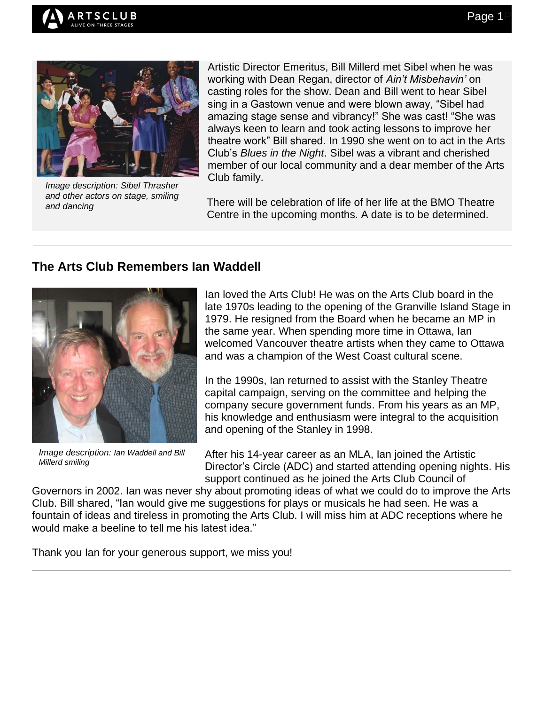



*Image description: Sibel Thrasher and other actors on stage, smiling and dancing*

Artistic Director Emeritus, Bill Millerd met Sibel when he was working with Dean Regan, director of *Ain't Misbehavin'* on casting roles for the show. Dean and Bill went to hear Sibel sing in a Gastown venue and were blown away, "Sibel had amazing stage sense and vibrancy!" She was cast! "She was always keen to learn and took acting lessons to improve her theatre work" Bill shared. In 1990 she went on to act in the Arts Club's *Blues in the Night*. Sibel was a vibrant and cherished member of our local community and a dear member of the Arts Club family.

There will be celebration of life of her life at the BMO Theatre Centre in the upcoming months. A date is to be determined.

## **The Arts Club Remembers Ian Waddell**



*Image description: Ian Waddell and Bill Millerd smiling*

Ian loved the Arts Club! He was on the Arts Club board in the late 1970s leading to the opening of the Granville Island Stage in 1979. He resigned from the Board when he became an MP in the same year. When spending more time in Ottawa, Ian welcomed Vancouver theatre artists when they came to Ottawa and was a champion of the West Coast cultural scene.

In the 1990s, Ian returned to assist with the Stanley Theatre capital campaign, serving on the committee and helping the company secure government funds. From his years as an MP, his knowledge and enthusiasm were integral to the acquisition and opening of the Stanley in 1998.

After his 14-year career as an MLA, Ian joined the Artistic Director's Circle (ADC) and started attending opening nights. His support continued as he joined the Arts Club Council of

Governors in 2002. Ian was never shy about promoting ideas of what we could do to improve the Arts Club. Bill shared, "Ian would give me suggestions for plays or musicals he had seen. He was a fountain of ideas and tireless in promoting the Arts Club. I will miss him at ADC receptions where he would make a beeline to tell me his latest idea."

Thank you Ian for your generous support, we miss you!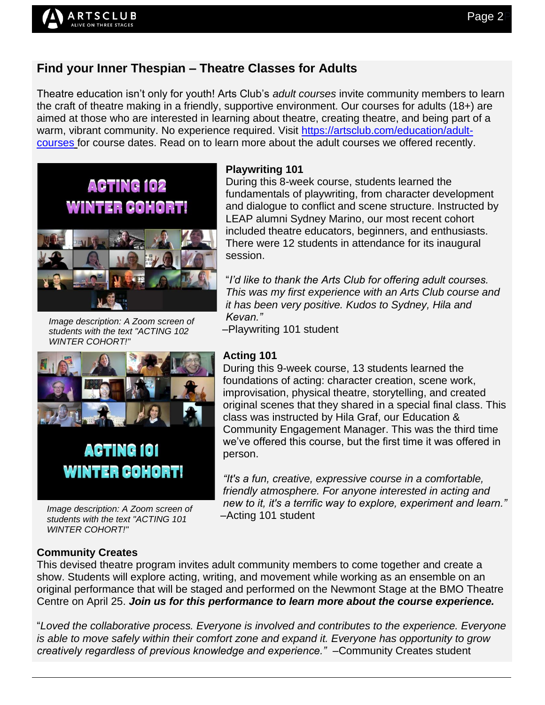# **Find your Inner Thespian – Theatre Classes for Adults**

Theatre education isn't only for youth! Arts Club's *adult courses* invite community members to learn the craft of theatre making in a friendly, supportive environment. Our courses for adults (18+) are aimed at those who are interested in learning about theatre, creating theatre, and being part of a warm, vibrant community. No experience required. Visit [https://artsclub.com/education/adult](https://artsclub.com/education/adult-courses)[courses](https://artsclub.com/education/adult-courses) for course dates. Read on to learn more about the adult courses we offered recently.



**RTSCLUB** LIVE ON THREE STAGES

*Image description: A Zoom screen of students with the text "ACTING 102 WINTER COHORT!"*

#### **Playwriting 101**

During this 8-week course, students learned the fundamentals of playwriting, from character development and dialogue to conflict and scene structure. Instructed by LEAP alumni Sydney Marino, our most recent cohort included theatre educators, beginners, and enthusiasts. There were 12 students in attendance for its inaugural session.

"*I'd like to thank the Arts Club for offering adult courses. This was my first experience with an Arts Club course and it has been very positive. Kudos to Sydney, Hila and Kevan."* 

–Playwriting 101 student



*Image description: A Zoom screen of students with the text "ACTING 101 WINTER COHORT!"*

#### **Acting 101**

During this 9-week course, 13 students learned the foundations of acting: character creation, scene work, improvisation, physical theatre, storytelling, and created original scenes that they shared in a special final class. This class was instructed by Hila Graf, our Education & Community Engagement Manager. This was the third time we've offered this course, but the first time it was offered in person.

*"It's a fun, creative, expressive course in a comfortable, friendly atmosphere. For anyone interested in acting and new to it, it's a terrific way to explore, experiment and learn."* –Acting 101 student

### **Community Creates**

This devised theatre program invites adult community members to come together and create a show. Students will explore acting, writing, and movement while working as an ensemble on an original performance that will be staged and performed on the Newmont Stage at the BMO Theatre Centre on April 25. *Join us for this performance to learn more about the course experience.*

"*Loved the collaborative process. Everyone is involved and contributes to the experience. Everyone is able to move safely within their comfort zone and expand it. Everyone has opportunity to grow creatively regardless of previous knowledge and experience."* –Community Creates student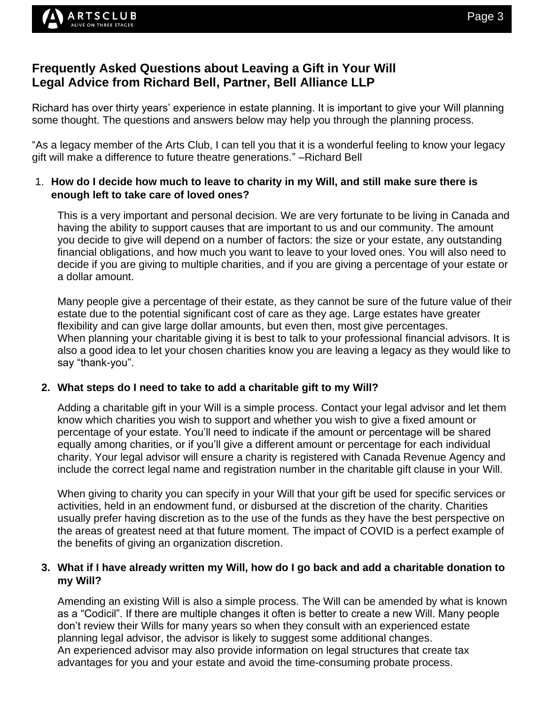## **Frequently Asked Questions about Leaving a Gift in Your Will Legal Advice from Richard Bell, Partner, Bell Alliance LLP**

Richard has over thirty years' experience in estate planning. It is important to give your Will planning some thought. The questions and answers below may help you through the planning process.

"As a legacy member of the Arts Club, I can tell you that it is a wonderful feeling to know your legacy gift will make a difference to future theatre generations." –Richard Bell

### 1. **How do I decide how much to leave to charity in my Will, and still make sure there is enough left to take care of loved ones?**

This is a very important and personal decision. We are very fortunate to be living in Canada and having the ability to support causes that are important to us and our community. The amount you decide to give will depend on a number of factors: the size or your estate, any outstanding financial obligations, and how much you want to leave to your loved ones. You will also need to decide if you are giving to multiple charities, and if you are giving a percentage of your estate or a dollar amount.

Many people give a percentage of their estate, as they cannot be sure of the future value of their estate due to the potential significant cost of care as they age. Large estates have greater flexibility and can give large dollar amounts, but even then, most give percentages. When planning your charitable giving it is best to talk to your professional financial advisors. It is also a good idea to let your chosen charities know you are leaving a legacy as they would like to say "thank-you".

### **2. What steps do I need to take to add a charitable gift to my Will?**

Adding a charitable gift in your Will is a simple process. Contact your legal advisor and let them know which charities you wish to support and whether you wish to give a fixed amount or percentage of your estate. You'll need to indicate if the amount or percentage will be shared equally among charities, or if you'll give a different amount or percentage for each individual charity. Your legal advisor will ensure a charity is registered with Canada Revenue Agency and include the correct legal name and registration number in the charitable gift clause in your Will.

When giving to charity you can specify in your Will that your gift be used for specific services or activities, held in an endowment fund, or disbursed at the discretion of the charity. Charities usually prefer having discretion as to the use of the funds as they have the best perspective on the areas of greatest need at that future moment. The impact of COVID is a perfect example of the benefits of giving an organization discretion.

### **3. What if I have already written my Will, how do I go back and add a charitable donation to my Will?**

Amending an existing Will is also a simple process. The Will can be amended by what is known as a "Codicil". If there are multiple changes it often is better to create a new Will. Many people don't review their Wills for many years so when they consult with an experienced estate planning legal advisor, the advisor is likely to suggest some additional changes. An experienced advisor may also provide information on legal structures that create tax advantages for you and your estate and avoid the time-consuming probate process.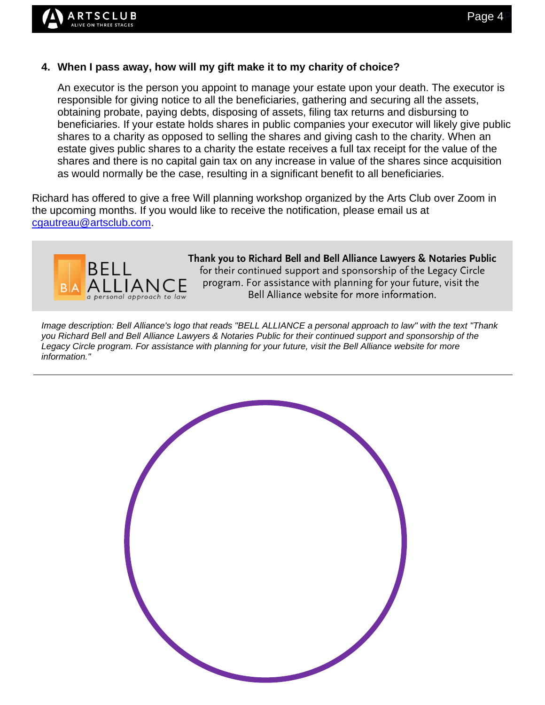### **4. When I pass away, how will my gift make it to my charity of choice?**

An executor is the person you appoint to manage your estate upon your death. The executor is responsible for giving notice to all the beneficiaries, gathering and securing all the assets, obtaining probate, paying debts, disposing of assets, filing tax returns and disbursing to beneficiaries. If your estate holds shares in public companies your executor will likely give public shares to a charity as opposed to selling the shares and giving cash to the charity. When an estate gives public shares to a charity the estate receives a full tax receipt for the value of the shares and there is no capital gain tax on any increase in value of the shares since acquisition as would normally be the case, resulting in a significant benefit to all beneficiaries.

Richard has offered to give a free Will planning workshop organized by the Arts Club over Zoom in the upcoming months. If you would like to receive the notification, please email us at [cgautreau@artsclub.com.](mailto:cgautreau@artsclub.com)



Thank you to Richard Bell and Bell Alliance Lawyers & Notaries Public for their continued support and sponsorship of the Legacy Circle program. For assistance with planning for your future, visit the Bell Alliance website for more information.

*Image description: Bell Alliance's logo that reads "BELL ALLIANCE a personal approach to law" with the text "Thank you Richard Bell and Bell Alliance Lawyers & Notaries Public for their continued support and sponsorship of the Legacy Circle program. For assistance with planning for your future, visit the Bell Alliance website for more information."*